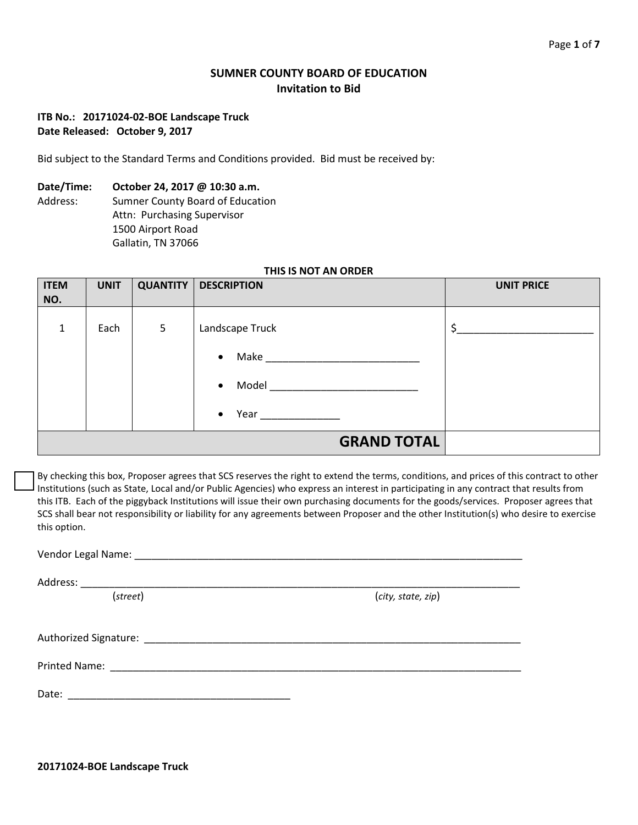# **SUMNER COUNTY BOARD OF EDUCATION Invitation to Bid**

# **ITB No.: 20171024-02-BOE Landscape Truck Date Released: October 9, 2017**

Bid subject to the Standard Terms and Conditions provided. Bid must be received by:

### **Date/Time: October 24, 2017 @ 10:30 a.m.**

Address: Sumner County Board of Education Attn: Purchasing Supervisor 1500 Airport Road Gallatin, TN 37066

### **THIS IS NOT AN ORDER**

| <b>ITEM</b><br>NO. | <b>UNIT</b> |                | <b>QUANTITY   DESCRIPTION</b>                                                                                                                                                                                                                    | <b>UNIT PRICE</b> |
|--------------------|-------------|----------------|--------------------------------------------------------------------------------------------------------------------------------------------------------------------------------------------------------------------------------------------------|-------------------|
| $\mathbf{1}$       | Each        | $5\phantom{.}$ | Landscape Truck                                                                                                                                                                                                                                  | Ś.                |
|                    |             |                | $\bullet$                                                                                                                                                                                                                                        |                   |
|                    |             |                | Model <b>Model</b> and the state of the state of the state of the state of the state of the state of the state of the state of the state of the state of the state of the state of the state of the state of the state of the state<br>$\bullet$ |                   |
|                    |             |                | <b>Year Secondary Secondary Secondary Secondary Secondary Secondary Secondary Secondary Secondary Secondary Secondary Secondary Secondary Secondary Secondary Secondary Secondary Secondary Secondary Secondary Secondary Seco</b><br>$\bullet$  |                   |
|                    |             |                | <b>GRAND TOTAL</b>                                                                                                                                                                                                                               |                   |

By checking this box, Proposer agrees that SCS reserves the right to extend the terms, conditions, and prices of this contract to other Institutions (such as State, Local and/or Public Agencies) who express an interest in participating in any contract that results from this ITB. Each of the piggyback Institutions will issue their own purchasing documents for the goods/services. Proposer agrees that SCS shall bear not responsibility or liability for any agreements between Proposer and the other Institution(s) who desire to exercise this option.

| (street) | (city, state, zip) |  |  |  |  |
|----------|--------------------|--|--|--|--|
|          |                    |  |  |  |  |
|          |                    |  |  |  |  |
|          |                    |  |  |  |  |

**20171024-BOE Landscape Truck**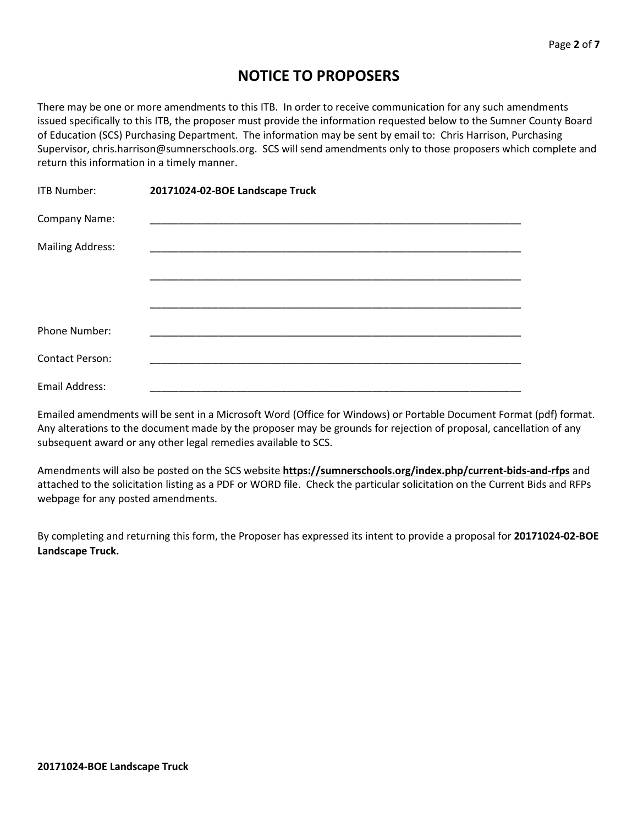# **NOTICE TO PROPOSERS**

There may be one or more amendments to this ITB. In order to receive communication for any such amendments issued specifically to this ITB, the proposer must provide the information requested below to the Sumner County Board of Education (SCS) Purchasing Department. The information may be sent by email to: Chris Harrison, Purchasing Supervisor, chris.harrison@sumnerschools.org. SCS will send amendments only to those proposers which complete and return this information in a timely manner.

| ITB Number:             | 20171024-02-BOE Landscape Truck |
|-------------------------|---------------------------------|
| Company Name:           |                                 |
| <b>Mailing Address:</b> |                                 |
|                         |                                 |
|                         |                                 |
| <b>Phone Number:</b>    |                                 |
| <b>Contact Person:</b>  |                                 |
| Email Address:          |                                 |

Emailed amendments will be sent in a Microsoft Word (Office for Windows) or Portable Document Format (pdf) format. Any alterations to the document made by the proposer may be grounds for rejection of proposal, cancellation of any subsequent award or any other legal remedies available to SCS.

Amendments will also be posted on the SCS website **https://sumnerschools.org/index.php/current-bids-and-rfps** and attached to the solicitation listing as a PDF or WORD file. Check the particular solicitation on the Current Bids and RFPs webpage for any posted amendments.

By completing and returning this form, the Proposer has expressed its intent to provide a proposal for **20171024-02-BOE Landscape Truck.**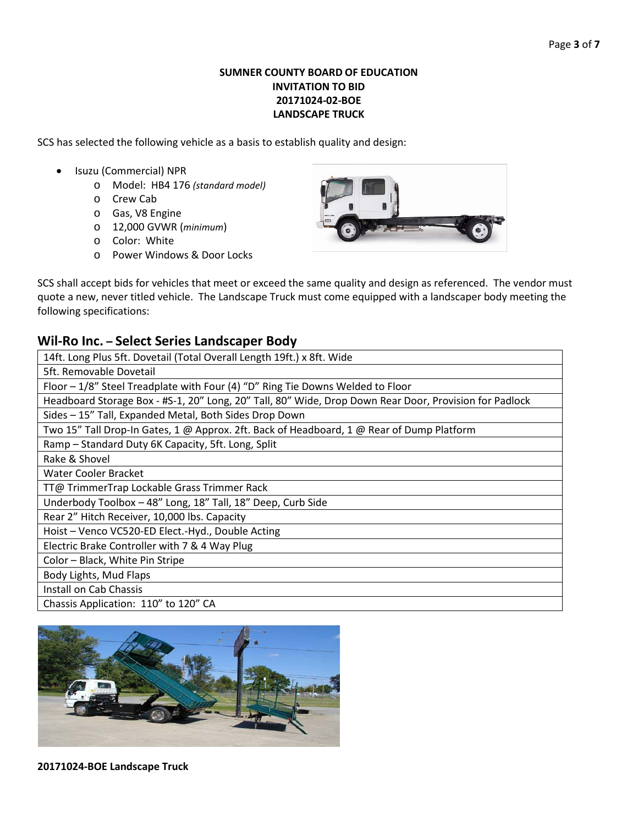# **SUMNER COUNTY BOARD OF EDUCATION INVITATION TO BID 20171024-02-BOE LANDSCAPE TRUCK**

SCS has selected the following vehicle as a basis to establish quality and design:

- Isuzu (Commercial) NPR
	- o Model: HB4 176 *(standard model)*
	- o Crew Cab
	- o Gas, V8 Engine
	- o 12,000 GVWR (*minimum*)
	- o Color: White
	- o Power Windows & Door Locks



SCS shall accept bids for vehicles that meet or exceed the same quality and design as referenced. The vendor must quote a new, never titled vehicle. The Landscape Truck must come equipped with a landscaper body meeting the following specifications:

# **Wil-Ro Inc. – Select Series Landscaper Body**

| 14ft. Long Plus 5ft. Dovetail (Total Overall Length 19ft.) x 8ft. Wide                                 |  |  |  |  |
|--------------------------------------------------------------------------------------------------------|--|--|--|--|
| 5ft. Removable Dovetail                                                                                |  |  |  |  |
| Floor - 1/8" Steel Treadplate with Four (4) "D" Ring Tie Downs Welded to Floor                         |  |  |  |  |
| Headboard Storage Box - #S-1, 20" Long, 20" Tall, 80" Wide, Drop Down Rear Door, Provision for Padlock |  |  |  |  |
| Sides - 15" Tall, Expanded Metal, Both Sides Drop Down                                                 |  |  |  |  |
| Two 15" Tall Drop-In Gates, 1 @ Approx. 2ft. Back of Headboard, 1 @ Rear of Dump Platform              |  |  |  |  |
| Ramp - Standard Duty 6K Capacity, 5ft. Long, Split                                                     |  |  |  |  |
| Rake & Shovel                                                                                          |  |  |  |  |
| Water Cooler Bracket                                                                                   |  |  |  |  |
| TT@ TrimmerTrap Lockable Grass Trimmer Rack                                                            |  |  |  |  |
| Underbody Toolbox - 48" Long, 18" Tall, 18" Deep, Curb Side                                            |  |  |  |  |
| Rear 2" Hitch Receiver, 10,000 lbs. Capacity                                                           |  |  |  |  |
| Hoist - Venco VC520-ED Elect.-Hyd., Double Acting                                                      |  |  |  |  |
| Electric Brake Controller with 7 & 4 Way Plug                                                          |  |  |  |  |
| Color - Black, White Pin Stripe                                                                        |  |  |  |  |
| Body Lights, Mud Flaps                                                                                 |  |  |  |  |
| Install on Cab Chassis                                                                                 |  |  |  |  |
| Chassis Application: 110" to 120" CA                                                                   |  |  |  |  |

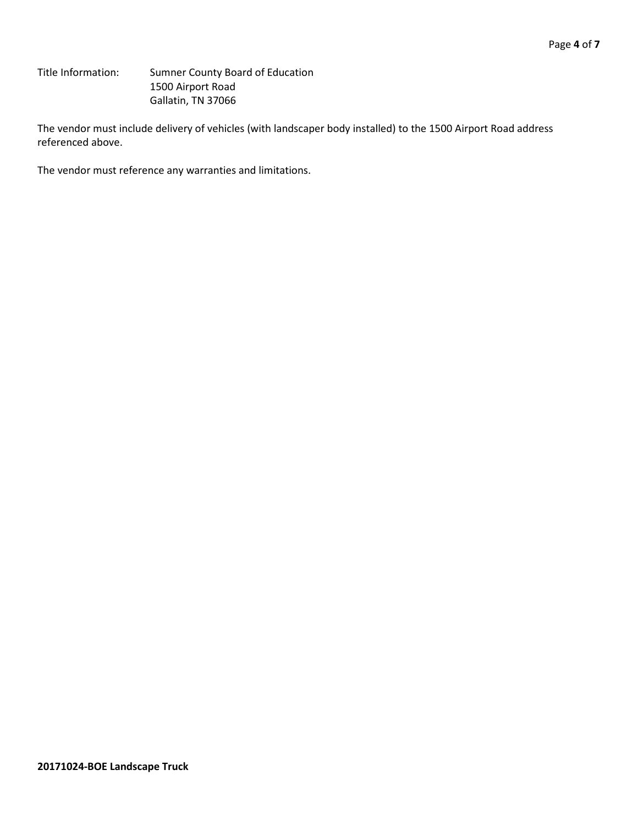Title Information: Sumner County Board of Education 1500 Airport Road Gallatin, TN 37066

The vendor must include delivery of vehicles (with landscaper body installed) to the 1500 Airport Road address referenced above.

The vendor must reference any warranties and limitations.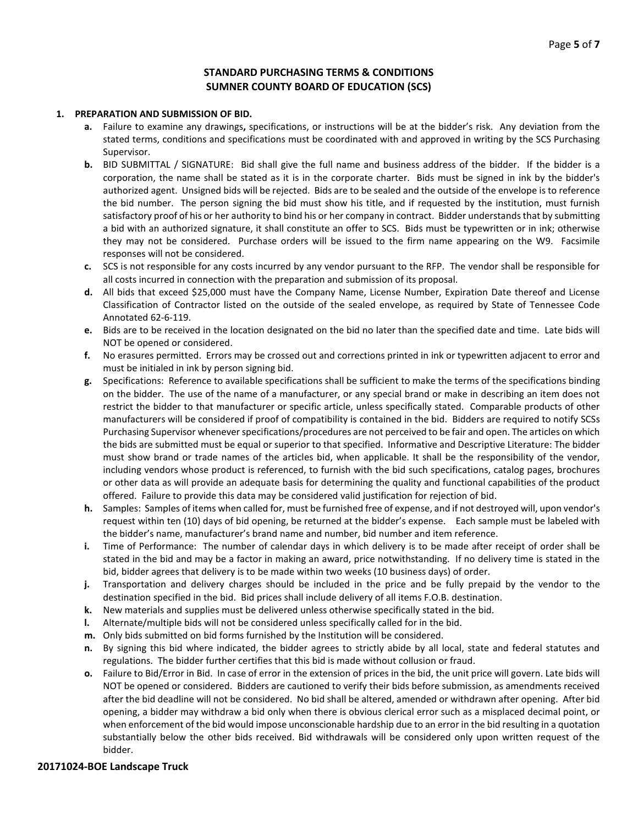## **STANDARD PURCHASING TERMS & CONDITIONS SUMNER COUNTY BOARD OF EDUCATION (SCS)**

#### **1. PREPARATION AND SUBMISSION OF BID.**

- **a.** Failure to examine any drawings**,** specifications, or instructions will be at the bidder's risk. Any deviation from the stated terms, conditions and specifications must be coordinated with and approved in writing by the SCS Purchasing Supervisor.
- **b.** BID SUBMITTAL / SIGNATURE: Bid shall give the full name and business address of the bidder. If the bidder is a corporation, the name shall be stated as it is in the corporate charter. Bids must be signed in ink by the bidder's authorized agent. Unsigned bids will be rejected. Bids are to be sealed and the outside of the envelope is to reference the bid number. The person signing the bid must show his title, and if requested by the institution, must furnish satisfactory proof of his or her authority to bind his or her company in contract. Bidder understands that by submitting a bid with an authorized signature, it shall constitute an offer to SCS. Bids must be typewritten or in ink; otherwise they may not be considered. Purchase orders will be issued to the firm name appearing on the W9. Facsimile responses will not be considered.
- **c.** SCS is not responsible for any costs incurred by any vendor pursuant to the RFP. The vendor shall be responsible for all costs incurred in connection with the preparation and submission of its proposal.
- **d.** All bids that exceed \$25,000 must have the Company Name, License Number, Expiration Date thereof and License Classification of Contractor listed on the outside of the sealed envelope, as required by State of Tennessee Code Annotated 62-6-119.
- **e.** Bids are to be received in the location designated on the bid no later than the specified date and time. Late bids will NOT be opened or considered.
- **f.** No erasures permitted. Errors may be crossed out and corrections printed in ink or typewritten adjacent to error and must be initialed in ink by person signing bid.
- **g.** Specifications: Reference to available specifications shall be sufficient to make the terms of the specifications binding on the bidder. The use of the name of a manufacturer, or any special brand or make in describing an item does not restrict the bidder to that manufacturer or specific article, unless specifically stated. Comparable products of other manufacturers will be considered if proof of compatibility is contained in the bid. Bidders are required to notify SCSs Purchasing Supervisor whenever specifications/procedures are not perceived to be fair and open. The articles on which the bids are submitted must be equal or superior to that specified. Informative and Descriptive Literature: The bidder must show brand or trade names of the articles bid, when applicable. It shall be the responsibility of the vendor, including vendors whose product is referenced, to furnish with the bid such specifications, catalog pages, brochures or other data as will provide an adequate basis for determining the quality and functional capabilities of the product offered. Failure to provide this data may be considered valid justification for rejection of bid.
- **h.** Samples: Samples of items when called for, must be furnished free of expense, and if not destroyed will, upon vendor's request within ten (10) days of bid opening, be returned at the bidder's expense. Each sample must be labeled with the bidder's name, manufacturer's brand name and number, bid number and item reference.
- **i.** Time of Performance: The number of calendar days in which delivery is to be made after receipt of order shall be stated in the bid and may be a factor in making an award, price notwithstanding. If no delivery time is stated in the bid, bidder agrees that delivery is to be made within two weeks (10 business days) of order.
- **j.** Transportation and delivery charges should be included in the price and be fully prepaid by the vendor to the destination specified in the bid. Bid prices shall include delivery of all items F.O.B. destination.
- **k.** New materials and supplies must be delivered unless otherwise specifically stated in the bid.
- **l.** Alternate/multiple bids will not be considered unless specifically called for in the bid.
- **m.** Only bids submitted on bid forms furnished by the Institution will be considered.
- **n.** By signing this bid where indicated, the bidder agrees to strictly abide by all local, state and federal statutes and regulations. The bidder further certifies that this bid is made without collusion or fraud.
- **o.** Failure to Bid/Error in Bid. In case of error in the extension of prices in the bid, the unit price will govern. Late bids will NOT be opened or considered. Bidders are cautioned to verify their bids before submission, as amendments received after the bid deadline will not be considered. No bid shall be altered, amended or withdrawn after opening. After bid opening, a bidder may withdraw a bid only when there is obvious clerical error such as a misplaced decimal point, or when enforcement of the bid would impose unconscionable hardship due to an error in the bid resulting in a quotation substantially below the other bids received. Bid withdrawals will be considered only upon written request of the bidder.

### **20171024-BOE Landscape Truck**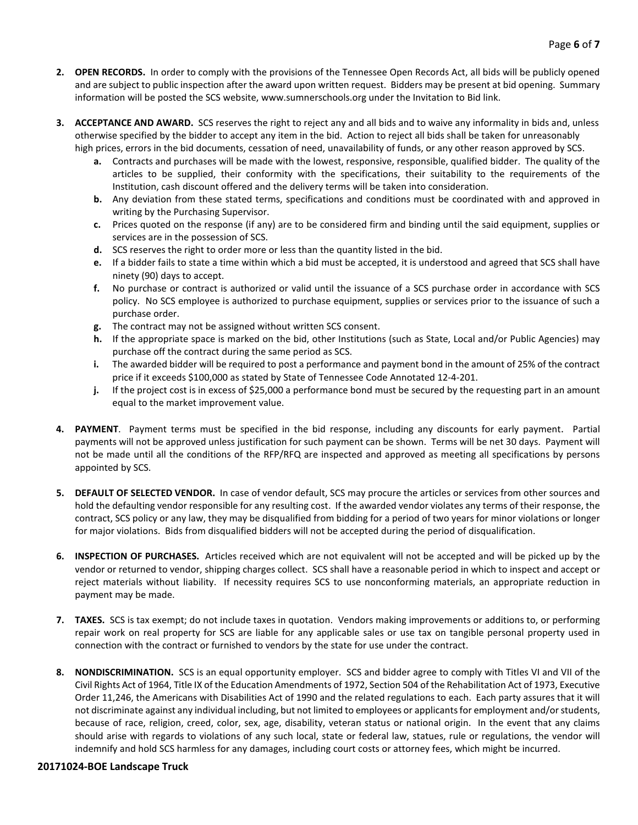- **2. OPEN RECORDS.** In order to comply with the provisions of the Tennessee Open Records Act, all bids will be publicly opened and are subject to public inspection after the award upon written request. Bidders may be present at bid opening. Summary information will be posted the SCS website, www.sumnerschools.org under the Invitation to Bid link.
- **3. ACCEPTANCE AND AWARD.** SCS reserves the right to reject any and all bids and to waive any informality in bids and, unless otherwise specified by the bidder to accept any item in the bid. Action to reject all bids shall be taken for unreasonably high prices, errors in the bid documents, cessation of need, unavailability of funds, or any other reason approved by SCS.
	- **a.** Contracts and purchases will be made with the lowest, responsive, responsible, qualified bidder. The quality of the articles to be supplied, their conformity with the specifications, their suitability to the requirements of the Institution, cash discount offered and the delivery terms will be taken into consideration.
	- **b.** Any deviation from these stated terms, specifications and conditions must be coordinated with and approved in writing by the Purchasing Supervisor.
	- **c.** Prices quoted on the response (if any) are to be considered firm and binding until the said equipment, supplies or services are in the possession of SCS.
	- **d.** SCS reserves the right to order more or less than the quantity listed in the bid.
	- **e.** If a bidder fails to state a time within which a bid must be accepted, it is understood and agreed that SCS shall have ninety (90) days to accept.
	- **f.** No purchase or contract is authorized or valid until the issuance of a SCS purchase order in accordance with SCS policy. No SCS employee is authorized to purchase equipment, supplies or services prior to the issuance of such a purchase order.
	- **g.** The contract may not be assigned without written SCS consent.
	- **h.** If the appropriate space is marked on the bid, other Institutions (such as State, Local and/or Public Agencies) may purchase off the contract during the same period as SCS.
	- **i.** The awarded bidder will be required to post a performance and payment bond in the amount of 25% of the contract price if it exceeds \$100,000 as stated by State of Tennessee Code Annotated 12-4-201.
	- **j.** If the project cost is in excess of \$25,000 a performance bond must be secured by the requesting part in an amount equal to the market improvement value.
- **4. PAYMENT**. Payment terms must be specified in the bid response, including any discounts for early payment. Partial payments will not be approved unless justification for such payment can be shown. Terms will be net 30 days. Payment will not be made until all the conditions of the RFP/RFQ are inspected and approved as meeting all specifications by persons appointed by SCS.
- **5. DEFAULT OF SELECTED VENDOR.** In case of vendor default, SCS may procure the articles or services from other sources and hold the defaulting vendor responsible for any resulting cost. If the awarded vendor violates any terms of their response, the contract, SCS policy or any law, they may be disqualified from bidding for a period of two years for minor violations or longer for major violations. Bids from disqualified bidders will not be accepted during the period of disqualification.
- **6. INSPECTION OF PURCHASES.** Articles received which are not equivalent will not be accepted and will be picked up by the vendor or returned to vendor, shipping charges collect. SCS shall have a reasonable period in which to inspect and accept or reject materials without liability. If necessity requires SCS to use nonconforming materials, an appropriate reduction in payment may be made.
- **7. TAXES.** SCS is tax exempt; do not include taxes in quotation. Vendors making improvements or additions to, or performing repair work on real property for SCS are liable for any applicable sales or use tax on tangible personal property used in connection with the contract or furnished to vendors by the state for use under the contract.
- **8. NONDISCRIMINATION.** SCS is an equal opportunity employer. SCS and bidder agree to comply with Titles VI and VII of the Civil Rights Act of 1964, Title IX of the Education Amendments of 1972, Section 504 of the Rehabilitation Act of 1973, Executive Order 11,246, the Americans with Disabilities Act of 1990 and the related regulations to each. Each party assures that it will not discriminate against any individual including, but not limited to employees or applicants for employment and/or students, because of race, religion, creed, color, sex, age, disability, veteran status or national origin. In the event that any claims should arise with regards to violations of any such local, state or federal law, statues, rule or regulations, the vendor will indemnify and hold SCS harmless for any damages, including court costs or attorney fees, which might be incurred.

### **20171024-BOE Landscape Truck**